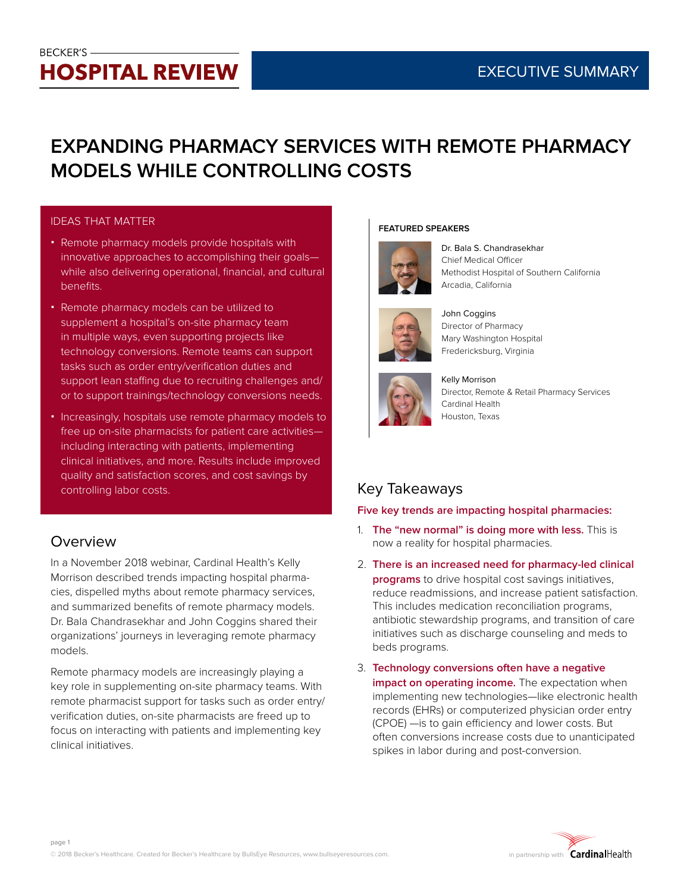# **BECKER'S-HOSPITAL REVIEW**

# **EXPANDING PHARMACY SERVICES WITH REMOTE PHARMACY MODELS WHILE CONTROLLING COSTS**

### IDEAS THAT MATTER

- Remote pharmacy models provide hospitals with innovative approaches to accomplishing their goals while also delivering operational, financial, and cultural benefits.
- Remote pharmacy models can be utilized to supplement a hospital's on-site pharmacy team in multiple ways, even supporting projects like technology conversions. Remote teams can support tasks such as order entry/verification duties and support lean staffing due to recruiting challenges and/ or to support trainings/technology conversions needs.
- Increasingly, hospitals use remote pharmacy models to free up on-site pharmacists for patient care activities including interacting with patients, implementing clinical initiatives, and more. Results include improved quality and satisfaction scores, and cost savings by controlling labor costs.

### Overview

In a November 2018 webinar, Cardinal Health's Kelly Morrison described trends impacting hospital pharmacies, dispelled myths about remote pharmacy services, and summarized benefits of remote pharmacy models. Dr. Bala Chandrasekhar and John Coggins shared their organizations' journeys in leveraging remote pharmacy models.

Remote pharmacy models are increasingly playing a key role in supplementing on-site pharmacy teams. With remote pharmacist support for tasks such as order entry/ verification duties, on-site pharmacists are freed up to focus on interacting with patients and implementing key clinical initiatives.

#### **FEATURED SPEAKERS**



Dr. Bala S. Chandrasekhar Chief Medical Officer Methodist Hospital of Southern California Arcadia, California



John Coggins Director of Pharmacy Mary Washington Hospital Fredericksburg, Virginia



Kelly Morrison Director, Remote & Retail Pharmacy Services Cardinal Health Houston, Texas

# Key Takeaways

### **Five key trends are impacting hospital pharmacies:**

- 1. **The "new normal" is doing more with less.** This is now a reality for hospital pharmacies.
- 2. **There is an increased need for pharmacy-led clinical programs** to drive hospital cost savings initiatives, reduce readmissions, and increase patient satisfaction. This includes medication reconciliation programs, antibiotic stewardship programs, and transition of care initiatives such as discharge counseling and meds to beds programs.
- 3. **Technology conversions often have a negative impact on operating income.** The expectation when implementing new technologies—like electronic health records (EHRs) or computerized physician order entry (CPOE) —is to gain efficiency and lower costs. But often conversions increase costs due to unanticipated spikes in labor during and post-conversion.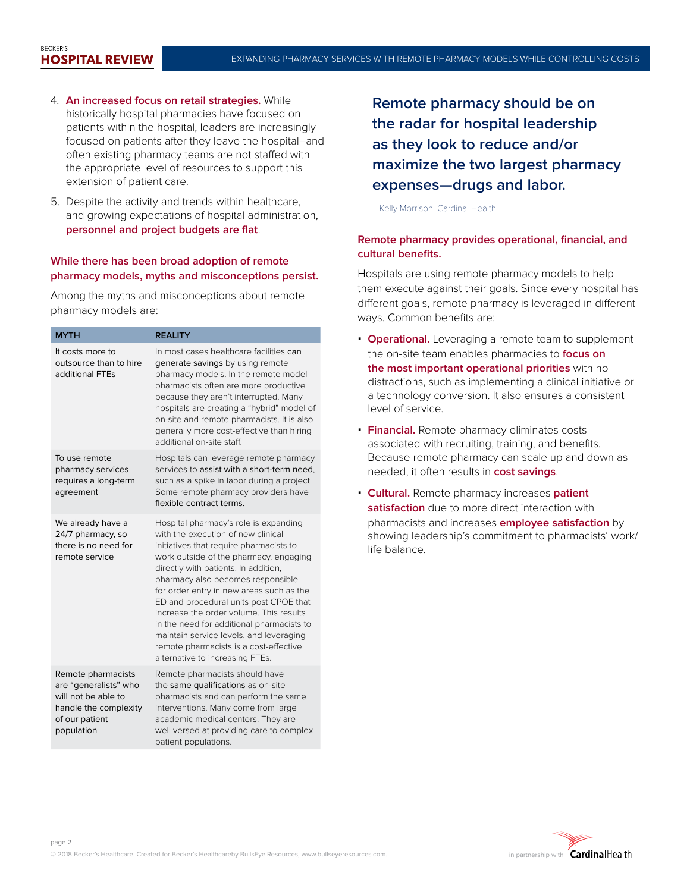#### **BECKER'S HOSPITAL REVIEW**

- 4. **An increased focus on retail strategies.** While historically hospital pharmacies have focused on patients within the hospital, leaders are increasingly focused on patients after they leave the hospital–and often existing pharmacy teams are not staffed with the appropriate level of resources to support this extension of patient care.
- 5. Despite the activity and trends within healthcare, and growing expectations of hospital administration, **personnel and project budgets are flat**.

#### **While there has been broad adoption of remote pharmacy models, myths and misconceptions persist.**

Among the myths and misconceptions about remote pharmacy models are:

| <b>MYTH</b>                                                                                                                 | <b>REALITY</b>                                                                                                                                                                                                                                                                                                                                                                                                                                                                                                                                      |
|-----------------------------------------------------------------------------------------------------------------------------|-----------------------------------------------------------------------------------------------------------------------------------------------------------------------------------------------------------------------------------------------------------------------------------------------------------------------------------------------------------------------------------------------------------------------------------------------------------------------------------------------------------------------------------------------------|
| It costs more to<br>outsource than to hire<br>additional FTEs                                                               | In most cases healthcare facilities can<br>generate savings by using remote<br>pharmacy models. In the remote model<br>pharmacists often are more productive<br>because they aren't interrupted. Many<br>hospitals are creating a "hybrid" model of<br>on-site and remote pharmacists. It is also<br>generally more cost-effective than hiring<br>additional on-site staff.                                                                                                                                                                         |
| To use remote<br>pharmacy services<br>requires a long-term<br>agreement                                                     | Hospitals can leverage remote pharmacy<br>services to assist with a short-term need,<br>such as a spike in labor during a project.<br>Some remote pharmacy providers have<br>flexible contract terms.                                                                                                                                                                                                                                                                                                                                               |
| We already have a<br>24/7 pharmacy, so<br>there is no need for<br>remote service                                            | Hospital pharmacy's role is expanding<br>with the execution of new clinical<br>initiatives that require pharmacists to<br>work outside of the pharmacy, engaging<br>directly with patients. In addition,<br>pharmacy also becomes responsible<br>for order entry in new areas such as the<br>ED and procedural units post CPOE that<br>increase the order volume. This results<br>in the need for additional pharmacists to<br>maintain service levels, and leveraging<br>remote pharmacists is a cost-effective<br>alternative to increasing FTEs. |
| Remote pharmacists<br>are "generalists" who<br>will not be able to<br>handle the complexity<br>of our patient<br>population | Remote pharmacists should have<br>the same qualifications as on-site<br>pharmacists and can perform the same<br>interventions. Many come from large<br>academic medical centers. They are<br>well versed at providing care to complex<br>patient populations.                                                                                                                                                                                                                                                                                       |

**Remote pharmacy should be on the radar for hospital leadership as they look to reduce and/or maximize the two largest pharmacy expenses—drugs and labor.**

– Kelly Morrison, Cardinal Health

#### **Remote pharmacy provides operational, financial, and cultural benefits.**

Hospitals are using remote pharmacy models to help them execute against their goals. Since every hospital has different goals, remote pharmacy is leveraged in different ways. Common benefits are:

- **Operational.** Leveraging a remote team to supplement the on-site team enables pharmacies to **focus on the most important operational priorities** with no distractions, such as implementing a clinical initiative or a technology conversion. It also ensures a consistent level of service.
- **Financial.** Remote pharmacy eliminates costs associated with recruiting, training, and benefits. Because remote pharmacy can scale up and down as needed, it often results in **cost savings**.
- **Cultural.** Remote pharmacy increases **patient satisfaction** due to more direct interaction with pharmacists and increases **employee satisfaction** by showing leadership's commitment to pharmacists' work/ life balance.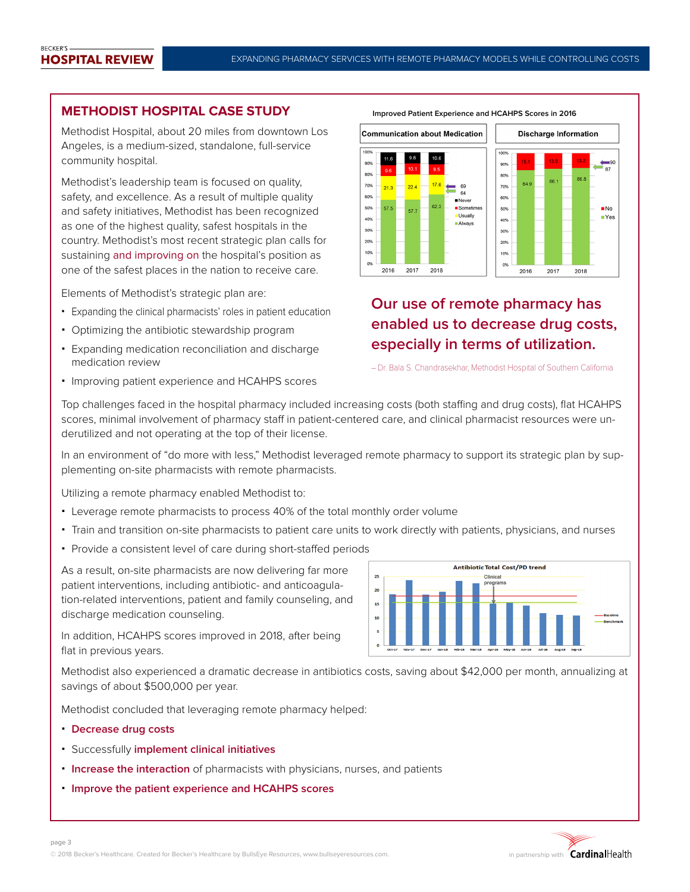### **METHODIST HOSPITAL CASE STUDY**

Methodist Hospital, about 20 miles from downtown Los Angeles, is a medium-sized, standalone, full-service community hospital.

Methodist's leadership team is focused on quality, safety, and excellence. As a result of multiple quality and safety initiatives, Methodist has been recognized as one of the highest quality, safest hospitals in the country. Methodist's most recent strategic plan calls for sustaining and improving on the hospital's position as one of the safest places in the nation to receive care.

Elements of Methodist's strategic plan are:

- Expanding the clinical pharmacists' roles in patient education
- Optimizing the antibiotic stewardship program
- Expanding medication reconciliation and discharge medication review
- Improving patient experience and HCAHPS scores



## **Our use of remote pharmacy has enabled us to decrease drug costs, especially in terms of utilization.**

– Dr. Bala S. Chandrasekhar, Methodist Hospital of Southern California

Top challenges faced in the hospital pharmacy included increasing costs (both staffing and drug costs), flat HCAHPS scores, minimal involvement of pharmacy staff in patient-centered care, and clinical pharmacist resources were underutilized and not operating at the top of their license.

In an environment of "do more with less," Methodist leveraged remote pharmacy to support its strategic plan by supplementing on-site pharmacists with remote pharmacists.

Utilizing a remote pharmacy enabled Methodist to:

- Leverage remote pharmacists to process 40% of the total monthly order volume
- Train and transition on-site pharmacists to patient care units to work directly with patients, physicians, and nurses
- Provide a consistent level of care during short-staffed periods

As a result, on-site pharmacists are now delivering far more patient interventions, including antibiotic- and anticoagulation-related interventions, patient and family counseling, and discharge medication counseling.



In addition, HCAHPS scores improved in 2018, after being flat in previous years.

Methodist also experienced a dramatic decrease in antibiotics costs, saving about \$42,000 per month, annualizing at savings of about \$500,000 per year.

Methodist concluded that leveraging remote pharmacy helped:

**Decrease drug costs**

page 3

- Successfully **implement clinical initiatives**
- **Increase the interaction** of pharmacists with physicians, nurses, and patients
- **Improve the patient experience and HCAHPS scores**